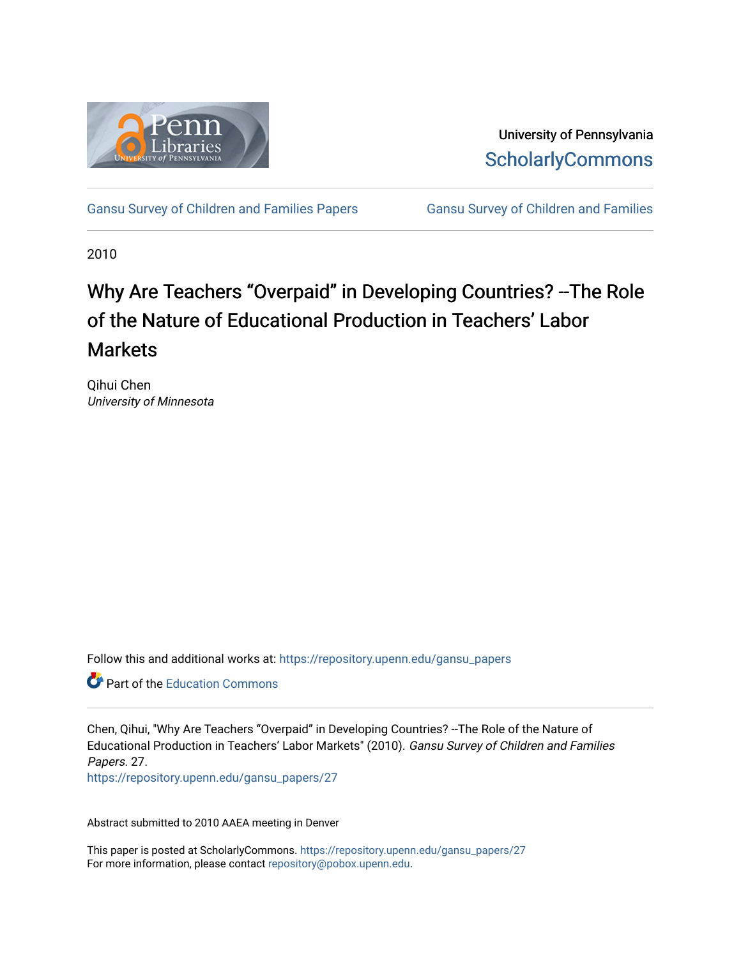

University of Pennsylvania **ScholarlyCommons** 

[Gansu Survey of Children and Families Papers](https://repository.upenn.edu/gansu_papers) Gansu Survey of Children and Families

2010

# Why Are Teachers "Overpaid" in Developing Countries? --The Role of the Nature of Educational Production in Teachers' Labor **Markets**

Qihui Chen University of Minnesota

Follow this and additional works at: [https://repository.upenn.edu/gansu\\_papers](https://repository.upenn.edu/gansu_papers?utm_source=repository.upenn.edu%2Fgansu_papers%2F27&utm_medium=PDF&utm_campaign=PDFCoverPages) 

**C** Part of the [Education Commons](http://network.bepress.com/hgg/discipline/784?utm_source=repository.upenn.edu%2Fgansu_papers%2F27&utm_medium=PDF&utm_campaign=PDFCoverPages)

Chen, Qihui, "Why Are Teachers "Overpaid" in Developing Countries? --The Role of the Nature of Educational Production in Teachers' Labor Markets" (2010). Gansu Survey of Children and Families Papers. 27.

[https://repository.upenn.edu/gansu\\_papers/27](https://repository.upenn.edu/gansu_papers/27?utm_source=repository.upenn.edu%2Fgansu_papers%2F27&utm_medium=PDF&utm_campaign=PDFCoverPages)

Abstract submitted to 2010 AAEA meeting in Denver

This paper is posted at ScholarlyCommons. [https://repository.upenn.edu/gansu\\_papers/27](https://repository.upenn.edu/gansu_papers/27)  For more information, please contact [repository@pobox.upenn.edu.](mailto:repository@pobox.upenn.edu)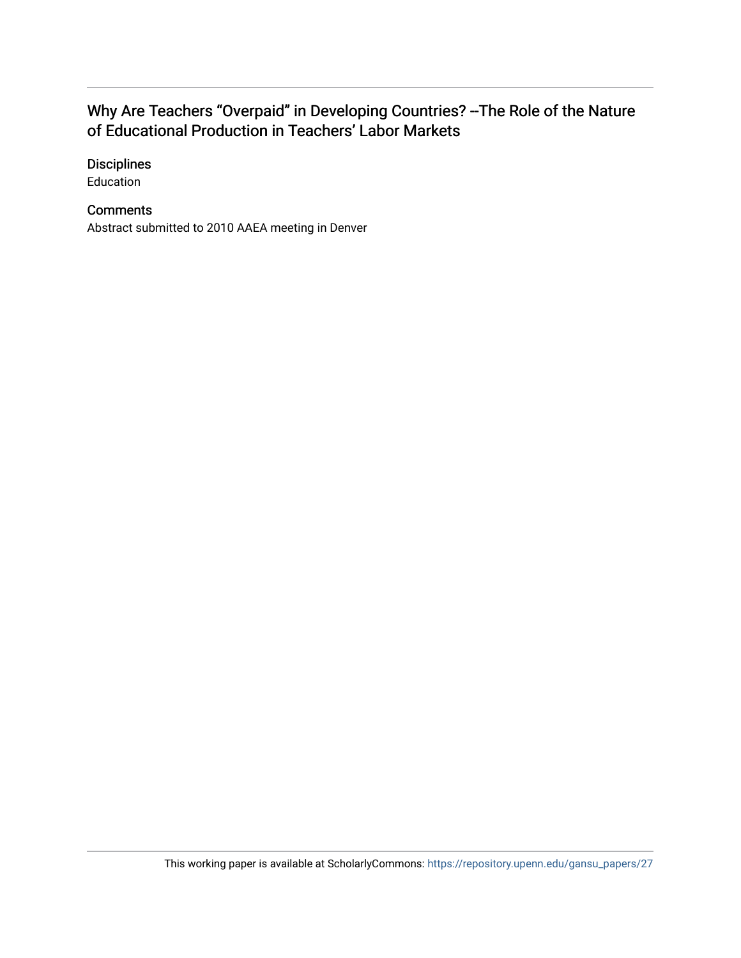## Why Are Teachers "Overpaid" in Developing Countries? --The Role of the Nature of Educational Production in Teachers' Labor Markets

#### **Disciplines**

Education

#### **Comments**

Abstract submitted to 2010 AAEA meeting in Denver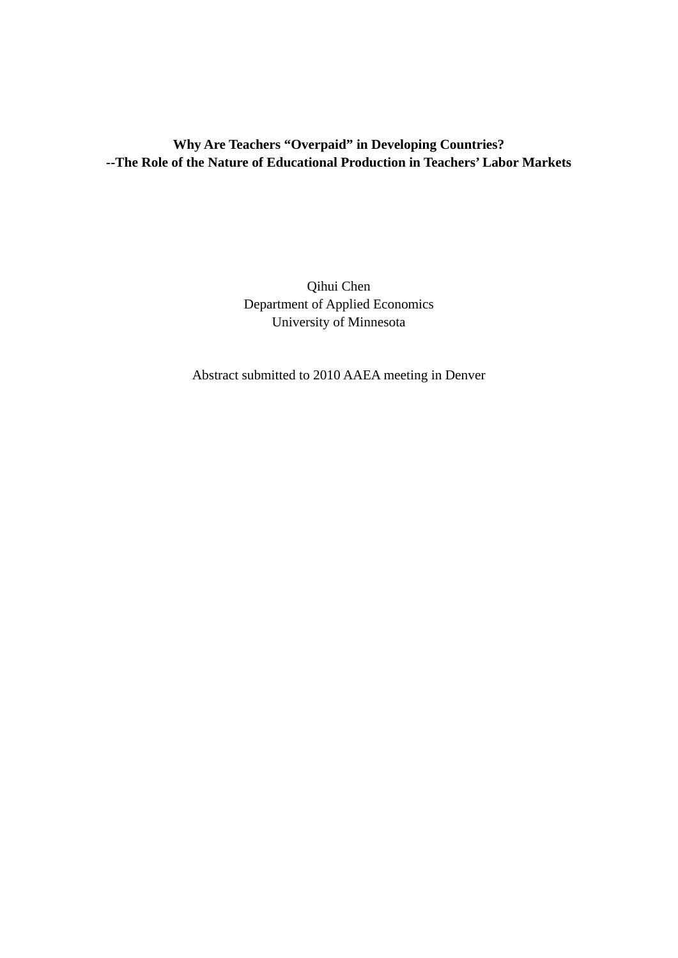### **Why Are Teachers "Overpaid" in Developing Countries? --The Role of the Nature of Educational Production in Teachers' Labor Markets**

Qihui Chen Department of Applied Economics University of Minnesota

Abstract submitted to 2010 AAEA meeting in Denver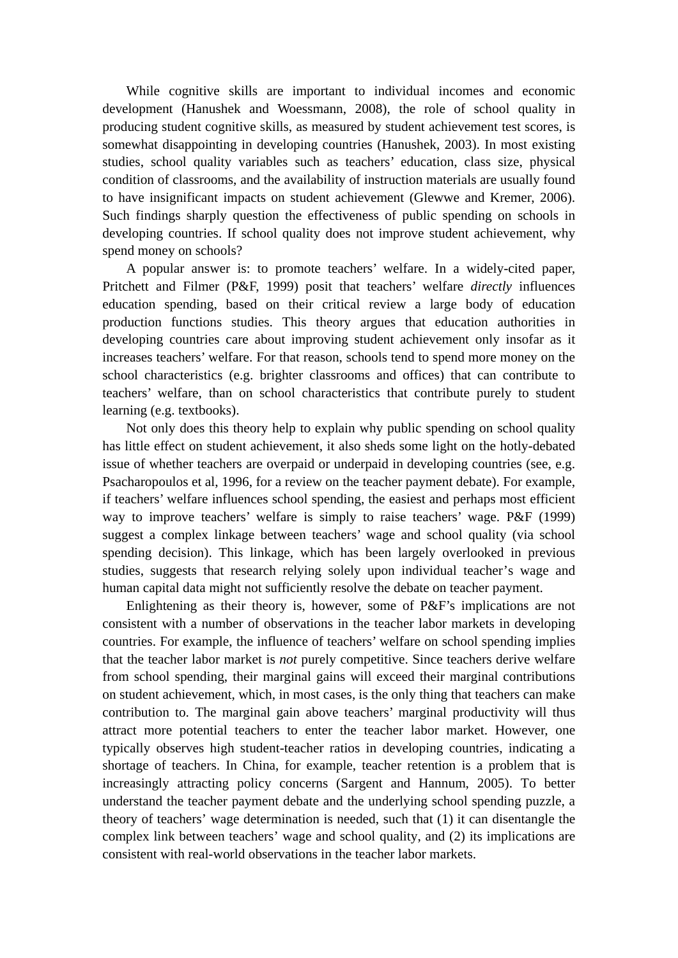While cognitive skills are important to individual incomes and economic development (Hanushek and Woessmann, 2008), the role of school quality in producing student cognitive skills, as measured by student achievement test scores, is somewhat disappointing in developing countries (Hanushek, 2003). In most existing studies, school quality variables such as teachers' education, class size, physical condition of classrooms, and the availability of instruction materials are usually found to have insignificant impacts on student achievement (Glewwe and Kremer, 2006). Such findings sharply question the effectiveness of public spending on schools in developing countries. If school quality does not improve student achievement, why spend money on schools?

A popular answer is: to promote teachers' welfare. In a widely-cited paper, Pritchett and Filmer (P&F, 1999) posit that teachers' welfare *directly* influences education spending, based on their critical review a large body of education production functions studies. This theory argues that education authorities in developing countries care about improving student achievement only insofar as it increases teachers' welfare. For that reason, schools tend to spend more money on the school characteristics (e.g. brighter classrooms and offices) that can contribute to teachers' welfare, than on school characteristics that contribute purely to student learning (e.g. textbooks).

Not only does this theory help to explain why public spending on school quality has little effect on student achievement, it also sheds some light on the hotly-debated issue of whether teachers are overpaid or underpaid in developing countries (see, e.g. Psacharopoulos et al, 1996, for a review on the teacher payment debate). For example, if teachers' welfare influences school spending, the easiest and perhaps most efficient way to improve teachers' welfare is simply to raise teachers' wage. P&F (1999) suggest a complex linkage between teachers' wage and school quality (via school spending decision). This linkage, which has been largely overlooked in previous studies, suggests that research relying solely upon individual teacher's wage and human capital data might not sufficiently resolve the debate on teacher payment.

Enlightening as their theory is, however, some of P&F's implications are not consistent with a number of observations in the teacher labor markets in developing countries. For example, the influence of teachers' welfare on school spending implies that the teacher labor market is *not* purely competitive. Since teachers derive welfare from school spending, their marginal gains will exceed their marginal contributions on student achievement, which, in most cases, is the only thing that teachers can make contribution to. The marginal gain above teachers' marginal productivity will thus attract more potential teachers to enter the teacher labor market. However, one typically observes high student-teacher ratios in developing countries, indicating a shortage of teachers. In China, for example, teacher retention is a problem that is increasingly attracting policy concerns (Sargent and Hannum, 2005). To better understand the teacher payment debate and the underlying school spending puzzle, a theory of teachers' wage determination is needed, such that (1) it can disentangle the complex link between teachers' wage and school quality, and (2) its implications are consistent with real-world observations in the teacher labor markets.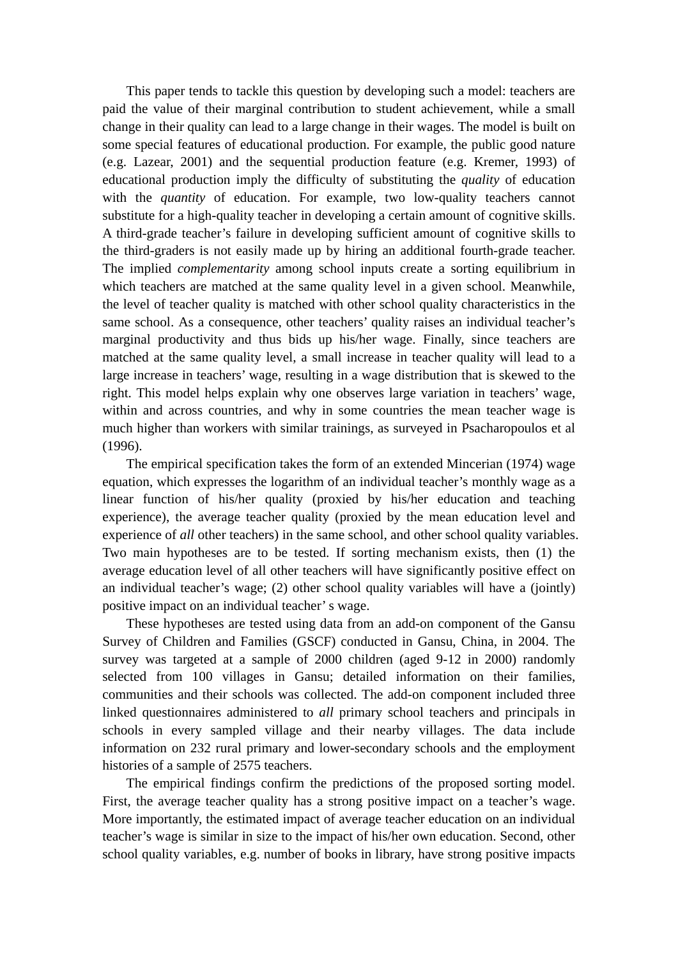This paper tends to tackle this question by developing such a model: teachers are paid the value of their marginal contribution to student achievement, while a small change in their quality can lead to a large change in their wages. The model is built on some special features of educational production. For example, the public good nature (e.g. Lazear, 2001) and the sequential production feature (e.g. Kremer, 1993) of educational production imply the difficulty of substituting the *quality* of education with the *quantity* of education. For example, two low-quality teachers cannot substitute for a high-quality teacher in developing a certain amount of cognitive skills. A third-grade teacher's failure in developing sufficient amount of cognitive skills to the third-graders is not easily made up by hiring an additional fourth-grade teacher. The implied *complementarity* among school inputs create a sorting equilibrium in which teachers are matched at the same quality level in a given school. Meanwhile, the level of teacher quality is matched with other school quality characteristics in the same school. As a consequence, other teachers' quality raises an individual teacher's marginal productivity and thus bids up his/her wage. Finally, since teachers are matched at the same quality level, a small increase in teacher quality will lead to a large increase in teachers' wage, resulting in a wage distribution that is skewed to the right. This model helps explain why one observes large variation in teachers' wage, within and across countries, and why in some countries the mean teacher wage is much higher than workers with similar trainings, as surveyed in Psacharopoulos et al (1996).

The empirical specification takes the form of an extended Mincerian (1974) wage equation, which expresses the logarithm of an individual teacher's monthly wage as a linear function of his/her quality (proxied by his/her education and teaching experience), the average teacher quality (proxied by the mean education level and experience of *all* other teachers) in the same school, and other school quality variables. Two main hypotheses are to be tested. If sorting mechanism exists, then (1) the average education level of all other teachers will have significantly positive effect on an individual teacher's wage; (2) other school quality variables will have a (jointly) positive impact on an individual teacher' s wage.

These hypotheses are tested using data from an add-on component of the Gansu Survey of Children and Families (GSCF) conducted in Gansu, China, in 2004. The survey was targeted at a sample of 2000 children (aged 9-12 in 2000) randomly selected from 100 villages in Gansu; detailed information on their families, communities and their schools was collected. The add-on component included three linked questionnaires administered to *all* primary school teachers and principals in schools in every sampled village and their nearby villages. The data include information on 232 rural primary and lower-secondary schools and the employment histories of a sample of 2575 teachers.

The empirical findings confirm the predictions of the proposed sorting model. First, the average teacher quality has a strong positive impact on a teacher's wage. More importantly, the estimated impact of average teacher education on an individual teacher's wage is similar in size to the impact of his/her own education. Second, other school quality variables, e.g. number of books in library, have strong positive impacts